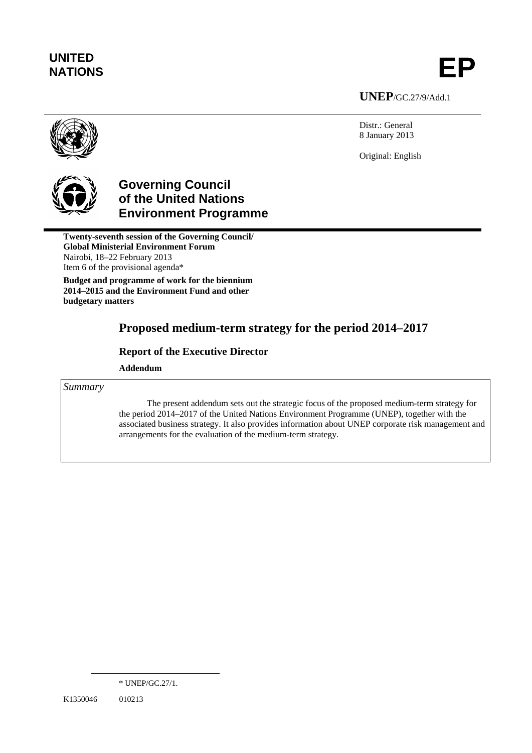# **UNITED**  UNITED<br>NATIONS **EP**

**UNEP**/GC.27/9/Add.1

Distr.: General 8 January 2013

Original: English



## **Governing Council of the United Nations Environment Programme**

**Twenty-seventh session of the Governing Council/ Global Ministerial Environment Forum**  Nairobi, 18–22 February 2013 Item 6 of the provisional agenda\*

**Budget and programme of work for the biennium 2014–2015 and the Environment Fund and other budgetary matters** 

## **Proposed medium-term strategy for the period 2014–2017**

## **Report of the Executive Director**

 **Addendum** 

*Summary* 

The present addendum sets out the strategic focus of the proposed medium-term strategy for the period 2014–2017 of the United Nations Environment Programme (UNEP), together with the associated business strategy. It also provides information about UNEP corporate risk management and arrangements for the evaluation of the medium-term strategy.

 $\overline{a}$ 

<sup>\*</sup> UNEP/GC.27/1.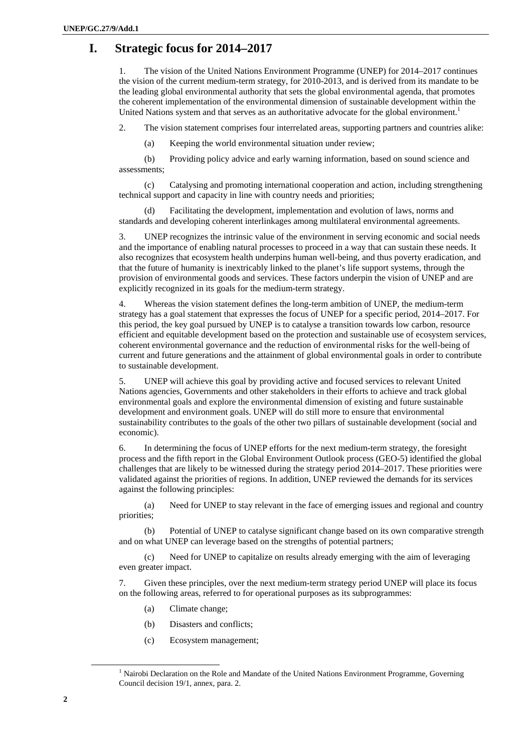## **I. Strategic focus for 2014–2017**

1. The vision of the United Nations Environment Programme (UNEP) for 2014–2017 continues the vision of the current medium-term strategy, for 2010-2013, and is derived from its mandate to be the leading global environmental authority that sets the global environmental agenda, that promotes the coherent implementation of the environmental dimension of sustainable development within the United Nations system and that serves as an authoritative advocate for the global environment.<sup>1</sup>

2. The vision statement comprises four interrelated areas, supporting partners and countries alike:

(a) Keeping the world environmental situation under review;

(b) Providing policy advice and early warning information, based on sound science and assessments;

(c) Catalysing and promoting international cooperation and action, including strengthening technical support and capacity in line with country needs and priorities;

(d) Facilitating the development, implementation and evolution of laws, norms and standards and developing coherent interlinkages among multilateral environmental agreements.

3. UNEP recognizes the intrinsic value of the environment in serving economic and social needs and the importance of enabling natural processes to proceed in a way that can sustain these needs. It also recognizes that ecosystem health underpins human well-being, and thus poverty eradication, and that the future of humanity is inextricably linked to the planet's life support systems, through the provision of environmental goods and services. These factors underpin the vision of UNEP and are explicitly recognized in its goals for the medium-term strategy.

4. Whereas the vision statement defines the long-term ambition of UNEP, the medium-term strategy has a goal statement that expresses the focus of UNEP for a specific period, 2014–2017. For this period, the key goal pursued by UNEP is to catalyse a transition towards low carbon, resource efficient and equitable development based on the protection and sustainable use of ecosystem services, coherent environmental governance and the reduction of environmental risks for the well-being of current and future generations and the attainment of global environmental goals in order to contribute to sustainable development.

5. UNEP will achieve this goal by providing active and focused services to relevant United Nations agencies, Governments and other stakeholders in their efforts to achieve and track global environmental goals and explore the environmental dimension of existing and future sustainable development and environment goals. UNEP will do still more to ensure that environmental sustainability contributes to the goals of the other two pillars of sustainable development (social and economic).

6. In determining the focus of UNEP efforts for the next medium-term strategy, the foresight process and the fifth report in the Global Environment Outlook process (GEO-5) identified the global challenges that are likely to be witnessed during the strategy period 2014–2017. These priorities were validated against the priorities of regions. In addition, UNEP reviewed the demands for its services against the following principles:

(a) Need for UNEP to stay relevant in the face of emerging issues and regional and country priorities;

(b) Potential of UNEP to catalyse significant change based on its own comparative strength and on what UNEP can leverage based on the strengths of potential partners;

(c) Need for UNEP to capitalize on results already emerging with the aim of leveraging even greater impact.

7. Given these principles, over the next medium-term strategy period UNEP will place its focus on the following areas, referred to for operational purposes as its subprogrammes:

- (a) Climate change;
- (b) Disasters and conflicts;
- (c) Ecosystem management;

 $\frac{1}{1}$  $<sup>1</sup>$  Nairobi Declaration on the Role and Mandate of the United Nations Environment Programme, Governing</sup> Council decision 19/1, annex, para. 2.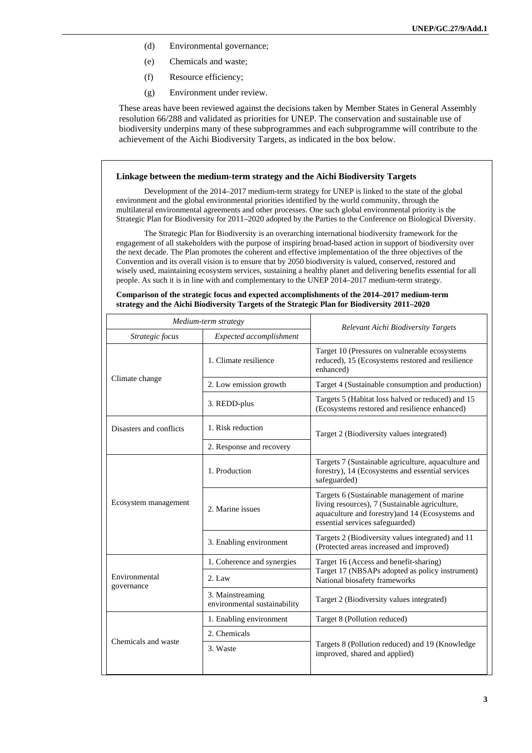- (d) Environmental governance;
- (e) Chemicals and waste;
- (f) Resource efficiency;
- (g) Environment under review.

These areas have been reviewed against the decisions taken by Member States in General Assembly resolution 66/288 and validated as priorities for UNEP. The conservation and sustainable use of biodiversity underpins many of these subprogrammes and each subprogramme will contribute to the achievement of the Aichi Biodiversity Targets, as indicated in the box below.

#### **Linkage between the medium-term strategy and the Aichi Biodiversity Targets**

Development of the 2014–2017 medium-term strategy for UNEP is linked to the state of the global environment and the global environmental priorities identified by the world community, through the multilateral environmental agreements and other processes. One such global environmental priority is the Strategic Plan for Biodiversity for 2011–2020 adopted by the Parties to the Conference on Biological Diversity.

The Strategic Plan for Biodiversity is an overarching international biodiversity framework for the engagement of all stakeholders with the purpose of inspiring broad-based action in support of biodiversity over the next decade. The Plan promotes the coherent and effective implementation of the three objectives of the Convention and its overall vision is to ensure that by 2050 biodiversity is valued, conserved, restored and wisely used, maintaining ecosystem services, sustaining a healthy planet and delivering benefits essential for all people. As such it is in line with and complementary to the UNEP 2014–2017 medium-term strategy.

#### **Comparison of the strategic focus and expected accomplishments of the 2014–2017 medium-term strategy and the Aichi Biodiversity Targets of the Strategic Plan for Biodiversity 2011–2020**

| Medium-term strategy        |                                                  | Relevant Aichi Biodiversity Targets                                                                                                                                                  |
|-----------------------------|--------------------------------------------------|--------------------------------------------------------------------------------------------------------------------------------------------------------------------------------------|
| Strategic focus             | Expected accomplishment                          |                                                                                                                                                                                      |
| Climate change              | 1. Climate resilience                            | Target 10 (Pressures on vulnerable ecosystems)<br>reduced), 15 (Ecosystems restored and resilience<br>enhanced)                                                                      |
|                             | 2. Low emission growth                           | Target 4 (Sustainable consumption and production)                                                                                                                                    |
|                             | 3. REDD-plus                                     | Targets 5 (Habitat loss halved or reduced) and 15<br>(Ecosystems restored and resilience enhanced)                                                                                   |
| Disasters and conflicts     | 1. Risk reduction                                | Target 2 (Biodiversity values integrated)                                                                                                                                            |
|                             | 2. Response and recovery                         |                                                                                                                                                                                      |
|                             | 1. Production                                    | Targets 7 (Sustainable agriculture, aquaculture and<br>forestry), 14 (Ecosystems and essential services<br>safeguarded)                                                              |
| Ecosystem management        | 2. Marine issues                                 | Targets 6 (Sustainable management of marine<br>living resources), 7 (Sustainable agriculture,<br>aquaculture and forestry) and 14 (Ecosystems and<br>essential services safeguarded) |
|                             | 3. Enabling environment                          | Targets 2 (Biodiversity values integrated) and 11<br>(Protected areas increased and improved)                                                                                        |
|                             | 1. Coherence and synergies                       | Target 16 (Access and benefit-sharing)<br>Target 17 (NBSAPs adopted as policy instrument)<br>National biosafety frameworks                                                           |
| Environmental<br>governance | $2.$ Law                                         |                                                                                                                                                                                      |
|                             | 3. Mainstreaming<br>environmental sustainability | Target 2 (Biodiversity values integrated)                                                                                                                                            |
|                             | 1. Enabling environment                          | Target 8 (Pollution reduced)                                                                                                                                                         |
|                             | 2. Chemicals                                     | Targets 8 (Pollution reduced) and 19 (Knowledge<br>improved, shared and applied)                                                                                                     |
| Chemicals and waste         | 3. Waste                                         |                                                                                                                                                                                      |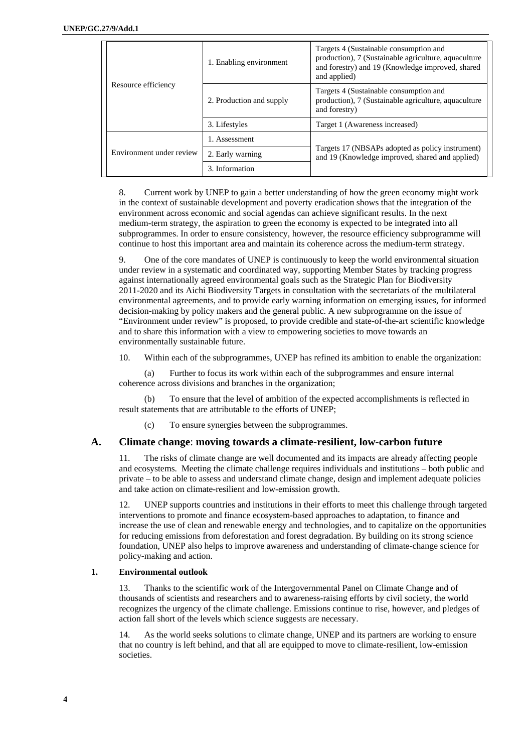|  | Resource efficiency      | 1. Enabling environment  | Targets 4 (Sustainable consumption and<br>production), 7 (Sustainable agriculture, aquaculture<br>and forestry) and 19 (Knowledge improved, shared<br>and applied) |
|--|--------------------------|--------------------------|--------------------------------------------------------------------------------------------------------------------------------------------------------------------|
|  |                          | 2. Production and supply | Targets 4 (Sustainable consumption and<br>production), 7 (Sustainable agriculture, aquaculture<br>and forestry)                                                    |
|  |                          | 3. Lifestyles            | Target 1 (Awareness increased)                                                                                                                                     |
|  | Environment under review | 1. Assessment            | Targets 17 (NBSAPs adopted as policy instrument)<br>and 19 (Knowledge improved, shared and applied)                                                                |
|  |                          | 2. Early warning         |                                                                                                                                                                    |
|  |                          | 3. Information           |                                                                                                                                                                    |

8. Current work by UNEP to gain a better understanding of how the green economy might work in the context of sustainable development and poverty eradication shows that the integration of the environment across economic and social agendas can achieve significant results. In the next medium-term strategy, the aspiration to green the economy is expected to be integrated into all subprogrammes. In order to ensure consistency, however, the resource efficiency subprogramme will continue to host this important area and maintain its coherence across the medium-term strategy.

9. One of the core mandates of UNEP is continuously to keep the world environmental situation under review in a systematic and coordinated way, supporting Member States by tracking progress against internationally agreed environmental goals such as the Strategic Plan for Biodiversity 2011-2020 and its Aichi Biodiversity Targets in consultation with the secretariats of the multilateral environmental agreements, and to provide early warning information on emerging issues, for informed decision-making by policy makers and the general public. A new subprogramme on the issue of "Environment under review" is proposed, to provide credible and state-of-the-art scientific knowledge and to share this information with a view to empowering societies to move towards an environmentally sustainable future.

10. Within each of the subprogrammes, UNEP has refined its ambition to enable the organization:

(a) Further to focus its work within each of the subprogrammes and ensure internal coherence across divisions and branches in the organization;

(b) To ensure that the level of ambition of the expected accomplishments is reflected in result statements that are attributable to the efforts of UNEP;

(c) To ensure synergies between the subprogrammes.

## **A. Climate** c**hange**: **moving towards a climate-resilient, low-carbon future**

11. The risks of climate change are well documented and its impacts are already affecting people and ecosystems. Meeting the climate challenge requires individuals and institutions – both public and private – to be able to assess and understand climate change, design and implement adequate policies and take action on climate-resilient and low-emission growth.

12. UNEP supports countries and institutions in their efforts to meet this challenge through targeted interventions to promote and finance ecosystem-based approaches to adaptation, to finance and increase the use of clean and renewable energy and technologies, and to capitalize on the opportunities for reducing emissions from deforestation and forest degradation. By building on its strong science foundation, UNEP also helps to improve awareness and understanding of climate-change science for policy-making and action.

## **1. Environmental outlook**

13. Thanks to the scientific work of the Intergovernmental Panel on Climate Change and of thousands of scientists and researchers and to awareness-raising efforts by civil society, the world recognizes the urgency of the climate challenge. Emissions continue to rise, however, and pledges of action fall short of the levels which science suggests are necessary.

14. As the world seeks solutions to climate change, UNEP and its partners are working to ensure that no country is left behind, and that all are equipped to move to climate-resilient, low-emission societies.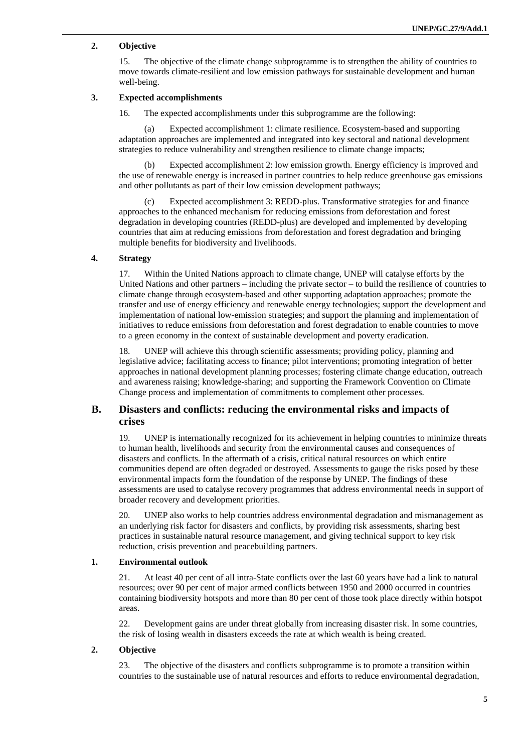## **2. Objective**

15. The objective of the climate change subprogramme is to strengthen the ability of countries to move towards climate-resilient and low emission pathways for sustainable development and human well-being.

#### **3. Expected accomplishments**

16. The expected accomplishments under this subprogramme are the following:

(a) Expected accomplishment 1: climate resilience. Ecosystem-based and supporting adaptation approaches are implemented and integrated into key sectoral and national development strategies to reduce vulnerability and strengthen resilience to climate change impacts;

(b) Expected accomplishment 2: low emission growth. Energy efficiency is improved and the use of renewable energy is increased in partner countries to help reduce greenhouse gas emissions and other pollutants as part of their low emission development pathways;

(c) Expected accomplishment 3: REDD-plus. Transformative strategies for and finance approaches to the enhanced mechanism for reducing emissions from deforestation and forest degradation in developing countries (REDD-plus) are developed and implemented by developing countries that aim at reducing emissions from deforestation and forest degradation and bringing multiple benefits for biodiversity and livelihoods.

## **4. Strategy**

17. Within the United Nations approach to climate change, UNEP will catalyse efforts by the United Nations and other partners – including the private sector – to build the resilience of countries to climate change through ecosystem-based and other supporting adaptation approaches; promote the transfer and use of energy efficiency and renewable energy technologies; support the development and implementation of national low-emission strategies; and support the planning and implementation of initiatives to reduce emissions from deforestation and forest degradation to enable countries to move to a green economy in the context of sustainable development and poverty eradication.

18. UNEP will achieve this through scientific assessments; providing policy, planning and legislative advice; facilitating access to finance; pilot interventions; promoting integration of better approaches in national development planning processes; fostering climate change education, outreach and awareness raising; knowledge-sharing; and supporting the Framework Convention on Climate Change process and implementation of commitments to complement other processes.

## **B. Disasters and conflicts: reducing the environmental risks and impacts of crises**

19. UNEP is internationally recognized for its achievement in helping countries to minimize threats to human health, livelihoods and security from the environmental causes and consequences of disasters and conflicts. In the aftermath of a crisis, critical natural resources on which entire communities depend are often degraded or destroyed. Assessments to gauge the risks posed by these environmental impacts form the foundation of the response by UNEP. The findings of these assessments are used to catalyse recovery programmes that address environmental needs in support of broader recovery and development priorities.

20. UNEP also works to help countries address environmental degradation and mismanagement as an underlying risk factor for disasters and conflicts, by providing risk assessments, sharing best practices in sustainable natural resource management, and giving technical support to key risk reduction, crisis prevention and peacebuilding partners.

## **1. Environmental outlook**

21. At least 40 per cent of all intra-State conflicts over the last 60 years have had a link to natural resources; over 90 per cent of major armed conflicts between 1950 and 2000 occurred in countries containing biodiversity hotspots and more than 80 per cent of those took place directly within hotspot areas.

22. Development gains are under threat globally from increasing disaster risk. In some countries, the risk of losing wealth in disasters exceeds the rate at which wealth is being created.

#### **2. Objective**

23. The objective of the disasters and conflicts subprogramme is to promote a transition within countries to the sustainable use of natural resources and efforts to reduce environmental degradation,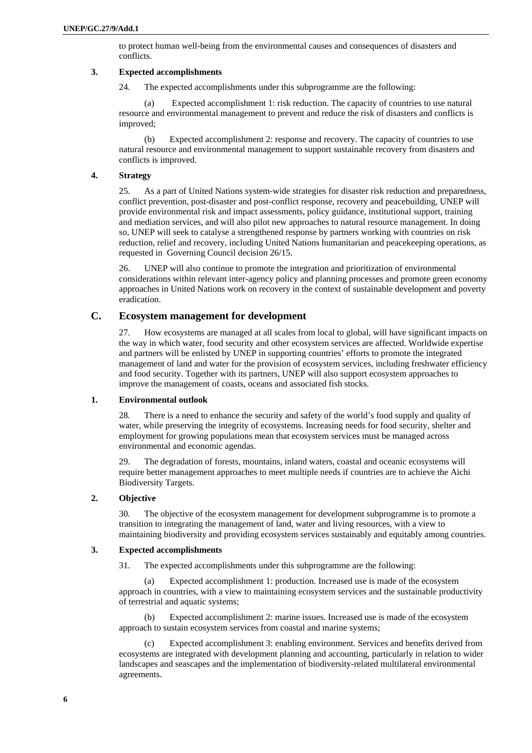to protect human well-being from the environmental causes and consequences of disasters and conflicts.

#### **3. Expected accomplishments**

24. The expected accomplishments under this subprogramme are the following:

(a) Expected accomplishment 1: risk reduction. The capacity of countries to use natural resource and environmental management to prevent and reduce the risk of disasters and conflicts is improved;

(b) Expected accomplishment 2: response and recovery. The capacity of countries to use natural resource and environmental management to support sustainable recovery from disasters and conflicts is improved.

#### **4. Strategy**

25. As a part of United Nations system-wide strategies for disaster risk reduction and preparedness, conflict prevention, post-disaster and post-conflict response, recovery and peacebuilding, UNEP will provide environmental risk and impact assessments, policy guidance, institutional support, training and mediation services, and will also pilot new approaches to natural resource management. In doing so, UNEP will seek to catalyse a strengthened response by partners working with countries on risk reduction, relief and recovery, including United Nations humanitarian and peacekeeping operations, as requested in Governing Council decision 26/15.

26. UNEP will also continue to promote the integration and prioritization of environmental considerations within relevant inter-agency policy and planning processes and promote green economy approaches in United Nations work on recovery in the context of sustainable development and poverty eradication.

#### **C. Ecosystem management for development**

27. How ecosystems are managed at all scales from local to global, will have significant impacts on the way in which water, food security and other ecosystem services are affected. Worldwide expertise and partners will be enlisted by UNEP in supporting countries' efforts to promote the integrated management of land and water for the provision of ecosystem services, including freshwater efficiency and food security. Together with its partners, UNEP will also support ecosystem approaches to improve the management of coasts, oceans and associated fish stocks.

#### **1. Environmental outlook**

28. There is a need to enhance the security and safety of the world's food supply and quality of water, while preserving the integrity of ecosystems. Increasing needs for food security, shelter and employment for growing populations mean that ecosystem services must be managed across environmental and economic agendas.

29. The degradation of forests, mountains, inland waters, coastal and oceanic ecosystems will require better management approaches to meet multiple needs if countries are to achieve the Aichi Biodiversity Targets.

#### **2. Objective**

30. The objective of the ecosystem management for development subprogramme is to promote a transition to integrating the management of land, water and living resources, with a view to maintaining biodiversity and providing ecosystem services sustainably and equitably among countries.

#### **3. Expected accomplishments**

31. The expected accomplishments under this subprogramme are the following:

(a) Expected accomplishment 1: production. Increased use is made of the ecosystem approach in countries, with a view to maintaining ecosystem services and the sustainable productivity of terrestrial and aquatic systems;

(b) Expected accomplishment 2: marine issues. Increased use is made of the ecosystem approach to sustain ecosystem services from coastal and marine systems;

(c) Expected accomplishment 3: enabling environment. Services and benefits derived from ecosystems are integrated with development planning and accounting, particularly in relation to wider landscapes and seascapes and the implementation of biodiversity-related multilateral environmental agreements.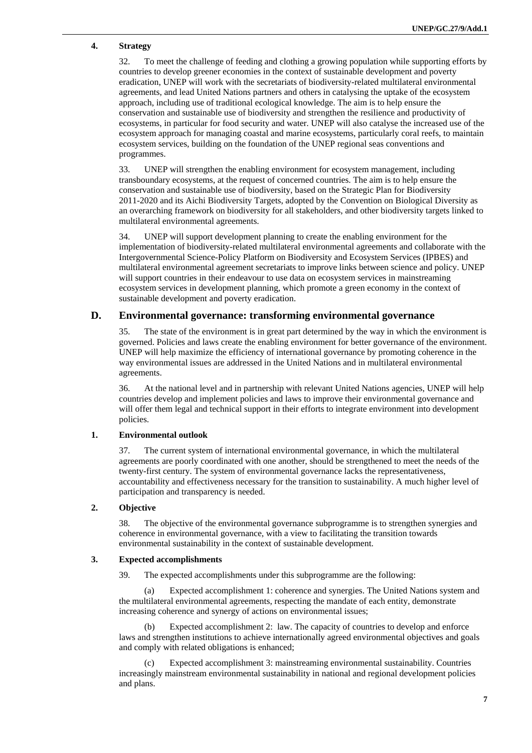## **4. Strategy**

32. To meet the challenge of feeding and clothing a growing population while supporting efforts by countries to develop greener economies in the context of sustainable development and poverty eradication, UNEP will work with the secretariats of biodiversity-related multilateral environmental agreements, and lead United Nations partners and others in catalysing the uptake of the ecosystem approach, including use of traditional ecological knowledge. The aim is to help ensure the conservation and sustainable use of biodiversity and strengthen the resilience and productivity of ecosystems, in particular for food security and water. UNEP will also catalyse the increased use of the ecosystem approach for managing coastal and marine ecosystems, particularly coral reefs, to maintain ecosystem services, building on the foundation of the UNEP regional seas conventions and programmes.

33. UNEP will strengthen the enabling environment for ecosystem management, including transboundary ecosystems, at the request of concerned countries. The aim is to help ensure the conservation and sustainable use of biodiversity, based on the Strategic Plan for Biodiversity 2011-2020 and its Aichi Biodiversity Targets, adopted by the Convention on Biological Diversity as an overarching framework on biodiversity for all stakeholders, and other biodiversity targets linked to multilateral environmental agreements.

34. UNEP will support development planning to create the enabling environment for the implementation of biodiversity-related multilateral environmental agreements and collaborate with the Intergovernmental Science-Policy Platform on Biodiversity and Ecosystem Services (IPBES) and multilateral environmental agreement secretariats to improve links between science and policy. UNEP will support countries in their endeavour to use data on ecosystem services in mainstreaming ecosystem services in development planning, which promote a green economy in the context of sustainable development and poverty eradication.

## **D. Environmental governance: transforming environmental governance**

35. The state of the environment is in great part determined by the way in which the environment is governed. Policies and laws create the enabling environment for better governance of the environment. UNEP will help maximize the efficiency of international governance by promoting coherence in the way environmental issues are addressed in the United Nations and in multilateral environmental agreements.

36. At the national level and in partnership with relevant United Nations agencies, UNEP will help countries develop and implement policies and laws to improve their environmental governance and will offer them legal and technical support in their efforts to integrate environment into development policies.

## **1. Environmental outlook**

37. The current system of international environmental governance, in which the multilateral agreements are poorly coordinated with one another, should be strengthened to meet the needs of the twenty-first century. The system of environmental governance lacks the representativeness, accountability and effectiveness necessary for the transition to sustainability. A much higher level of participation and transparency is needed.

## **2. Objective**

38. The objective of the environmental governance subprogramme is to strengthen synergies and coherence in environmental governance, with a view to facilitating the transition towards environmental sustainability in the context of sustainable development.

#### **3. Expected accomplishments**

39. The expected accomplishments under this subprogramme are the following:

(a) Expected accomplishment 1: coherence and synergies. The United Nations system and the multilateral environmental agreements, respecting the mandate of each entity, demonstrate increasing coherence and synergy of actions on environmental issues;

(b) Expected accomplishment 2: law. The capacity of countries to develop and enforce laws and strengthen institutions to achieve internationally agreed environmental objectives and goals and comply with related obligations is enhanced;

(c) Expected accomplishment 3: mainstreaming environmental sustainability. Countries increasingly mainstream environmental sustainability in national and regional development policies and plans.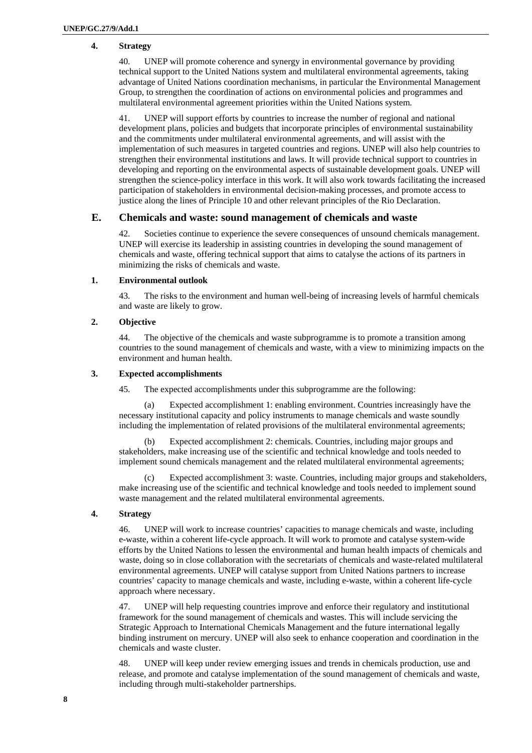## **4. Strategy**

40. UNEP will promote coherence and synergy in environmental governance by providing technical support to the United Nations system and multilateral environmental agreements, taking advantage of United Nations coordination mechanisms, in particular the Environmental Management Group, to strengthen the coordination of actions on environmental policies and programmes and multilateral environmental agreement priorities within the United Nations system.

41. UNEP will support efforts by countries to increase the number of regional and national development plans, policies and budgets that incorporate principles of environmental sustainability and the commitments under multilateral environmental agreements, and will assist with the implementation of such measures in targeted countries and regions. UNEP will also help countries to strengthen their environmental institutions and laws. It will provide technical support to countries in developing and reporting on the environmental aspects of sustainable development goals. UNEP will strengthen the science-policy interface in this work. It will also work towards facilitating the increased participation of stakeholders in environmental decision-making processes, and promote access to justice along the lines of Principle 10 and other relevant principles of the Rio Declaration.

## **E. Chemicals and waste: sound management of chemicals and waste**

Societies continue to experience the severe consequences of unsound chemicals management. UNEP will exercise its leadership in assisting countries in developing the sound management of chemicals and waste, offering technical support that aims to catalyse the actions of its partners in minimizing the risks of chemicals and waste.

#### **1. Environmental outlook**

43. The risks to the environment and human well-being of increasing levels of harmful chemicals and waste are likely to grow.

### **2. Objective**

44. The objective of the chemicals and waste subprogramme is to promote a transition among countries to the sound management of chemicals and waste, with a view to minimizing impacts on the environment and human health.

#### **3. Expected accomplishments**

45. The expected accomplishments under this subprogramme are the following:

(a) Expected accomplishment 1: enabling environment. Countries increasingly have the necessary institutional capacity and policy instruments to manage chemicals and waste soundly including the implementation of related provisions of the multilateral environmental agreements;

(b) Expected accomplishment 2: chemicals. Countries, including major groups and stakeholders, make increasing use of the scientific and technical knowledge and tools needed to implement sound chemicals management and the related multilateral environmental agreements;

(c) Expected accomplishment 3: waste. Countries, including major groups and stakeholders, make increasing use of the scientific and technical knowledge and tools needed to implement sound waste management and the related multilateral environmental agreements.

## **4. Strategy**

46. UNEP will work to increase countries' capacities to manage chemicals and waste, including e-waste, within a coherent life-cycle approach. It will work to promote and catalyse system-wide efforts by the United Nations to lessen the environmental and human health impacts of chemicals and waste, doing so in close collaboration with the secretariats of chemicals and waste-related multilateral environmental agreements. UNEP will catalyse support from United Nations partners to increase countries' capacity to manage chemicals and waste, including e-waste, within a coherent life-cycle approach where necessary.

47. UNEP will help requesting countries improve and enforce their regulatory and institutional framework for the sound management of chemicals and wastes. This will include servicing the Strategic Approach to International Chemicals Management and the future international legally binding instrument on mercury. UNEP will also seek to enhance cooperation and coordination in the chemicals and waste cluster.

48. UNEP will keep under review emerging issues and trends in chemicals production, use and release, and promote and catalyse implementation of the sound management of chemicals and waste, including through multi-stakeholder partnerships.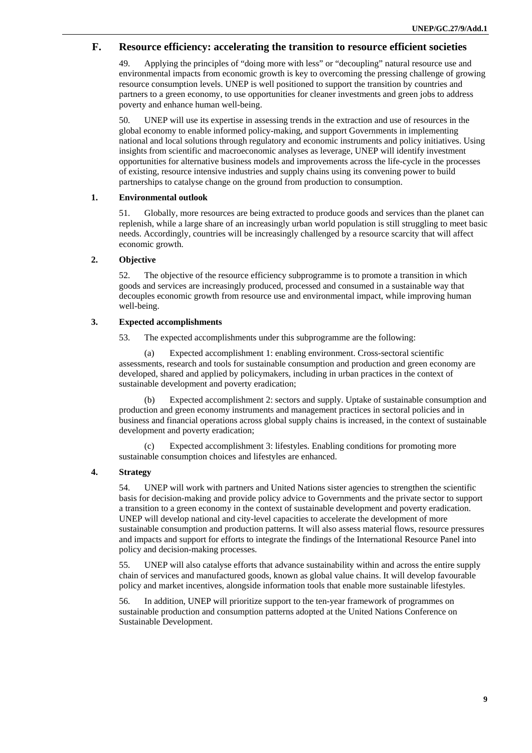## **F. Resource efficiency: accelerating the transition to resource efficient societies**

49. Applying the principles of "doing more with less" or "decoupling" natural resource use and environmental impacts from economic growth is key to overcoming the pressing challenge of growing resource consumption levels. UNEP is well positioned to support the transition by countries and partners to a green economy, to use opportunities for cleaner investments and green jobs to address poverty and enhance human well-being.

50. UNEP will use its expertise in assessing trends in the extraction and use of resources in the global economy to enable informed policy-making, and support Governments in implementing national and local solutions through regulatory and economic instruments and policy initiatives. Using insights from scientific and macroeconomic analyses as leverage, UNEP will identify investment opportunities for alternative business models and improvements across the life-cycle in the processes of existing, resource intensive industries and supply chains using its convening power to build partnerships to catalyse change on the ground from production to consumption.

## **1. Environmental outlook**

51. Globally, more resources are being extracted to produce goods and services than the planet can replenish, while a large share of an increasingly urban world population is still struggling to meet basic needs. Accordingly, countries will be increasingly challenged by a resource scarcity that will affect economic growth.

## **2. Objective**

52. The objective of the resource efficiency subprogramme is to promote a transition in which goods and services are increasingly produced, processed and consumed in a sustainable way that decouples economic growth from resource use and environmental impact, while improving human well-being.

## **3. Expected accomplishments**

53. The expected accomplishments under this subprogramme are the following:

(a) Expected accomplishment 1: enabling environment. Cross-sectoral scientific assessments, research and tools for sustainable consumption and production and green economy are developed, shared and applied by policymakers, including in urban practices in the context of sustainable development and poverty eradication;

(b) Expected accomplishment 2: sectors and supply. Uptake of sustainable consumption and production and green economy instruments and management practices in sectoral policies and in business and financial operations across global supply chains is increased, in the context of sustainable development and poverty eradication;

Expected accomplishment 3: lifestyles. Enabling conditions for promoting more sustainable consumption choices and lifestyles are enhanced.

## **4. Strategy**

54. UNEP will work with partners and United Nations sister agencies to strengthen the scientific basis for decision-making and provide policy advice to Governments and the private sector to support a transition to a green economy in the context of sustainable development and poverty eradication. UNEP will develop national and city-level capacities to accelerate the development of more sustainable consumption and production patterns. It will also assess material flows, resource pressures and impacts and support for efforts to integrate the findings of the International Resource Panel into policy and decision-making processes.

55. UNEP will also catalyse efforts that advance sustainability within and across the entire supply chain of services and manufactured goods, known as global value chains. It will develop favourable policy and market incentives, alongside information tools that enable more sustainable lifestyles.

56. In addition, UNEP will prioritize support to the ten-year framework of programmes on sustainable production and consumption patterns adopted at the United Nations Conference on Sustainable Development.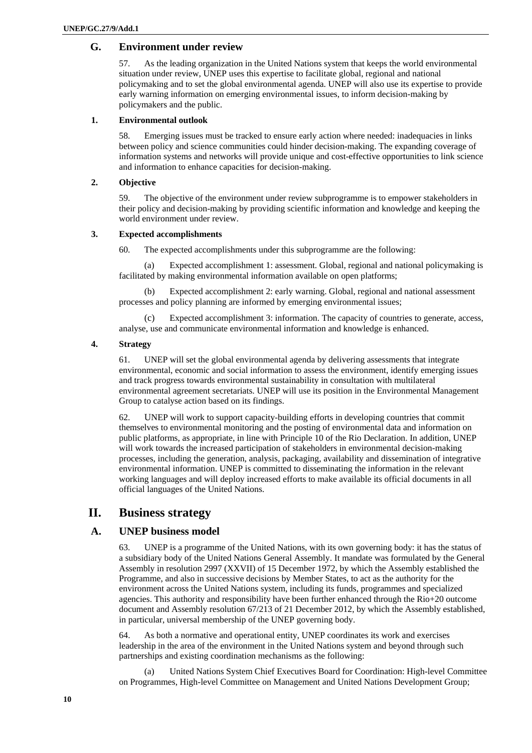## **G. Environment under review**

57. As the leading organization in the United Nations system that keeps the world environmental situation under review, UNEP uses this expertise to facilitate global, regional and national policymaking and to set the global environmental agenda. UNEP will also use its expertise to provide early warning information on emerging environmental issues, to inform decision-making by policymakers and the public.

#### **1. Environmental outlook**

58. Emerging issues must be tracked to ensure early action where needed: inadequacies in links between policy and science communities could hinder decision-making. The expanding coverage of information systems and networks will provide unique and cost-effective opportunities to link science and information to enhance capacities for decision-making.

#### **2. Objective**

59. The objective of the environment under review subprogramme is to empower stakeholders in their policy and decision-making by providing scientific information and knowledge and keeping the world environment under review.

## **3. Expected accomplishments**

60. The expected accomplishments under this subprogramme are the following:

(a) Expected accomplishment 1: assessment. Global, regional and national policymaking is facilitated by making environmental information available on open platforms;

(b) Expected accomplishment 2: early warning. Global, regional and national assessment processes and policy planning are informed by emerging environmental issues;

Expected accomplishment 3: information. The capacity of countries to generate, access, analyse, use and communicate environmental information and knowledge is enhanced.

## **4. Strategy**

61. UNEP will set the global environmental agenda by delivering assessments that integrate environmental, economic and social information to assess the environment, identify emerging issues and track progress towards environmental sustainability in consultation with multilateral environmental agreement secretariats. UNEP will use its position in the Environmental Management Group to catalyse action based on its findings.

62. UNEP will work to support capacity-building efforts in developing countries that commit themselves to environmental monitoring and the posting of environmental data and information on public platforms, as appropriate, in line with Principle 10 of the Rio Declaration. In addition, UNEP will work towards the increased participation of stakeholders in environmental decision-making processes, including the generation, analysis, packaging, availability and dissemination of integrative environmental information. UNEP is committed to disseminating the information in the relevant working languages and will deploy increased efforts to make available its official documents in all official languages of the United Nations.

## **II. Business strategy**

## **A. UNEP business model**

63. UNEP is a programme of the United Nations, with its own governing body: it has the status of a subsidiary body of the United Nations General Assembly. It mandate was formulated by the General Assembly in resolution 2997 (XXVII) of 15 December 1972, by which the Assembly established the Programme, and also in successive decisions by Member States, to act as the authority for the environment across the United Nations system, including its funds, programmes and specialized agencies. This authority and responsibility have been further enhanced through the Rio+20 outcome document and Assembly resolution 67/213 of 21 December 2012, by which the Assembly established, in particular, universal membership of the UNEP governing body.

64. As both a normative and operational entity, UNEP coordinates its work and exercises leadership in the area of the environment in the United Nations system and beyond through such partnerships and existing coordination mechanisms as the following:

(a) United Nations System Chief Executives Board for Coordination: High-level Committee on Programmes, High-level Committee on Management and United Nations Development Group;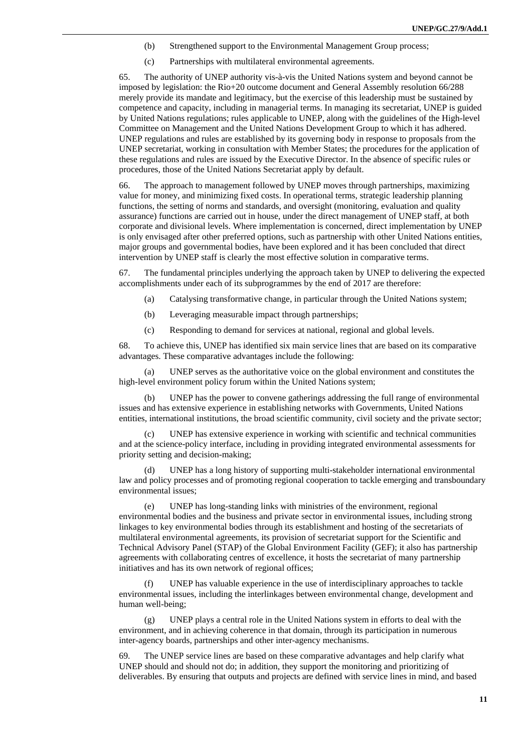- (b) Strengthened support to the Environmental Management Group process;
- (c) Partnerships with multilateral environmental agreements.

65. The authority of UNEP authority vis-à-vis the United Nations system and beyond cannot be imposed by legislation: the Rio+20 outcome document and General Assembly resolution 66/288 merely provide its mandate and legitimacy, but the exercise of this leadership must be sustained by competence and capacity, including in managerial terms. In managing its secretariat, UNEP is guided by United Nations regulations; rules applicable to UNEP, along with the guidelines of the High-level Committee on Management and the United Nations Development Group to which it has adhered. UNEP regulations and rules are established by its governing body in response to proposals from the UNEP secretariat, working in consultation with Member States; the procedures for the application of these regulations and rules are issued by the Executive Director. In the absence of specific rules or procedures, those of the United Nations Secretariat apply by default.

66. The approach to management followed by UNEP moves through partnerships, maximizing value for money, and minimizing fixed costs. In operational terms, strategic leadership planning functions, the setting of norms and standards, and oversight (monitoring, evaluation and quality assurance) functions are carried out in house, under the direct management of UNEP staff, at both corporate and divisional levels. Where implementation is concerned, direct implementation by UNEP is only envisaged after other preferred options, such as partnership with other United Nations entities, major groups and governmental bodies, have been explored and it has been concluded that direct intervention by UNEP staff is clearly the most effective solution in comparative terms.

67. The fundamental principles underlying the approach taken by UNEP to delivering the expected accomplishments under each of its subprogrammes by the end of 2017 are therefore:

- (a) Catalysing transformative change, in particular through the United Nations system;
- (b) Leveraging measurable impact through partnerships;
- (c) Responding to demand for services at national, regional and global levels.

68. To achieve this, UNEP has identified six main service lines that are based on its comparative advantages. These comparative advantages include the following:

(a) UNEP serves as the authoritative voice on the global environment and constitutes the high-level environment policy forum within the United Nations system;

(b) UNEP has the power to convene gatherings addressing the full range of environmental issues and has extensive experience in establishing networks with Governments, United Nations entities, international institutions, the broad scientific community, civil society and the private sector;

(c) UNEP has extensive experience in working with scientific and technical communities and at the science-policy interface, including in providing integrated environmental assessments for priority setting and decision-making;

(d) UNEP has a long history of supporting multi-stakeholder international environmental law and policy processes and of promoting regional cooperation to tackle emerging and transboundary environmental issues;

(e) UNEP has long-standing links with ministries of the environment, regional environmental bodies and the business and private sector in environmental issues, including strong linkages to key environmental bodies through its establishment and hosting of the secretariats of multilateral environmental agreements, its provision of secretariat support for the Scientific and Technical Advisory Panel (STAP) of the Global Environment Facility (GEF); it also has partnership agreements with collaborating centres of excellence, it hosts the secretariat of many partnership initiatives and has its own network of regional offices;

(f) UNEP has valuable experience in the use of interdisciplinary approaches to tackle environmental issues, including the interlinkages between environmental change, development and human well-being;

(g) UNEP plays a central role in the United Nations system in efforts to deal with the environment, and in achieving coherence in that domain, through its participation in numerous inter-agency boards, partnerships and other inter-agency mechanisms.

69. The UNEP service lines are based on these comparative advantages and help clarify what UNEP should and should not do; in addition, they support the monitoring and prioritizing of deliverables. By ensuring that outputs and projects are defined with service lines in mind, and based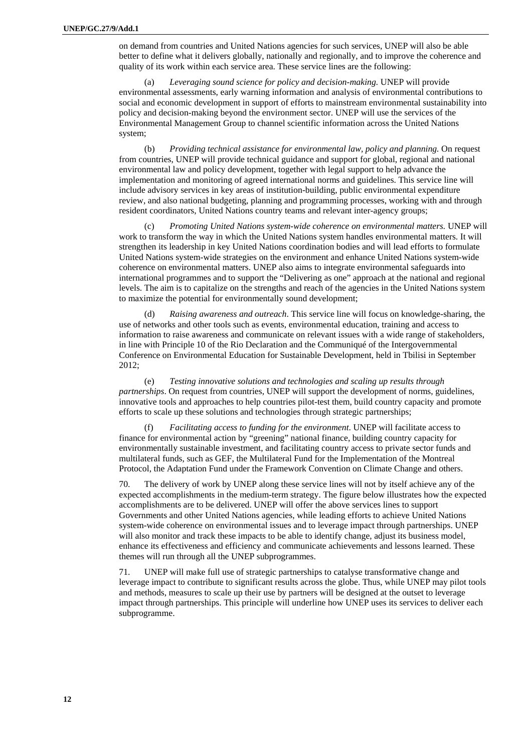on demand from countries and United Nations agencies for such services, UNEP will also be able better to define what it delivers globally, nationally and regionally, and to improve the coherence and quality of its work within each service area. These service lines are the following:

(a) *Leveraging sound science for policy and decision-making.* UNEP will provide environmental assessments, early warning information and analysis of environmental contributions to social and economic development in support of efforts to mainstream environmental sustainability into policy and decision-making beyond the environment sector. UNEP will use the services of the Environmental Management Group to channel scientific information across the United Nations system;

(b) *Providing technical assistance for environmental law, policy and planning.* On request from countries, UNEP will provide technical guidance and support for global, regional and national environmental law and policy development, together with legal support to help advance the implementation and monitoring of agreed international norms and guidelines. This service line will include advisory services in key areas of institution-building, public environmental expenditure review, and also national budgeting, planning and programming processes, working with and through resident coordinators, United Nations country teams and relevant inter-agency groups;

(c) *Promoting United Nations system-wide coherence on environmental matters.* UNEP will work to transform the way in which the United Nations system handles environmental matters. It will strengthen its leadership in key United Nations coordination bodies and will lead efforts to formulate United Nations system-wide strategies on the environment and enhance United Nations system-wide coherence on environmental matters. UNEP also aims to integrate environmental safeguards into international programmes and to support the "Delivering as one" approach at the national and regional levels. The aim is to capitalize on the strengths and reach of the agencies in the United Nations system to maximize the potential for environmentally sound development;

(d) *Raising awareness and outreach*. This service line will focus on knowledge-sharing, the use of networks and other tools such as events, environmental education, training and access to information to raise awareness and communicate on relevant issues with a wide range of stakeholders, in line with Principle 10 of the Rio Declaration and the Communiqué of the Intergovernmental Conference on Environmental Education for Sustainable Development, held in Tbilisi in September 2012;

(e) *Testing innovative solutions and technologies and scaling up results through partnerships*. On request from countries, UNEP will support the development of norms, guidelines, innovative tools and approaches to help countries pilot-test them, build country capacity and promote efforts to scale up these solutions and technologies through strategic partnerships;

(f) *Facilitating access to funding for the environment*. UNEP will facilitate access to finance for environmental action by "greening" national finance, building country capacity for environmentally sustainable investment, and facilitating country access to private sector funds and multilateral funds, such as GEF, the Multilateral Fund for the Implementation of the Montreal Protocol, the Adaptation Fund under the Framework Convention on Climate Change and others.

70. The delivery of work by UNEP along these service lines will not by itself achieve any of the expected accomplishments in the medium-term strategy. The figure below illustrates how the expected accomplishments are to be delivered. UNEP will offer the above services lines to support Governments and other United Nations agencies, while leading efforts to achieve United Nations system-wide coherence on environmental issues and to leverage impact through partnerships. UNEP will also monitor and track these impacts to be able to identify change, adjust its business model, enhance its effectiveness and efficiency and communicate achievements and lessons learned. These themes will run through all the UNEP subprogrammes.

71. UNEP will make full use of strategic partnerships to catalyse transformative change and leverage impact to contribute to significant results across the globe. Thus, while UNEP may pilot tools and methods, measures to scale up their use by partners will be designed at the outset to leverage impact through partnerships. This principle will underline how UNEP uses its services to deliver each subprogramme.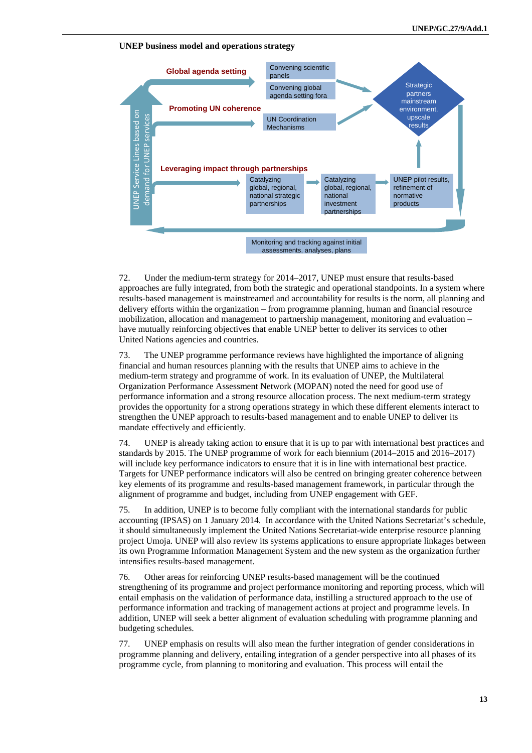



72. Under the medium-term strategy for 2014–2017, UNEP must ensure that results-based approaches are fully integrated, from both the strategic and operational standpoints. In a system where results-based management is mainstreamed and accountability for results is the norm, all planning and delivery efforts within the organization – from programme planning, human and financial resource mobilization, allocation and management to partnership management, monitoring and evaluation – have mutually reinforcing objectives that enable UNEP better to deliver its services to other United Nations agencies and countries.

73. The UNEP programme performance reviews have highlighted the importance of aligning financial and human resources planning with the results that UNEP aims to achieve in the medium-term strategy and programme of work. In its evaluation of UNEP, the Multilateral Organization Performance Assessment Network (MOPAN) noted the need for good use of performance information and a strong resource allocation process. The next medium-term strategy provides the opportunity for a strong operations strategy in which these different elements interact to strengthen the UNEP approach to results-based management and to enable UNEP to deliver its mandate effectively and efficiently.

74. UNEP is already taking action to ensure that it is up to par with international best practices and standards by 2015. The UNEP programme of work for each biennium (2014–2015 and 2016–2017) will include key performance indicators to ensure that it is in line with international best practice. Targets for UNEP performance indicators will also be centred on bringing greater coherence between key elements of its programme and results-based management framework, in particular through the alignment of programme and budget, including from UNEP engagement with GEF.

75. In addition, UNEP is to become fully compliant with the international standards for public accounting (IPSAS) on 1 January 2014. In accordance with the United Nations Secretariat's schedule, it should simultaneously implement the United Nations Secretariat-wide enterprise resource planning project Umoja. UNEP will also review its systems applications to ensure appropriate linkages between its own Programme Information Management System and the new system as the organization further intensifies results-based management.

76. Other areas for reinforcing UNEP results-based management will be the continued strengthening of its programme and project performance monitoring and reporting process, which will entail emphasis on the validation of performance data, instilling a structured approach to the use of performance information and tracking of management actions at project and programme levels. In addition, UNEP will seek a better alignment of evaluation scheduling with programme planning and budgeting schedules.

77. UNEP emphasis on results will also mean the further integration of gender considerations in programme planning and delivery, entailing integration of a gender perspective into all phases of its programme cycle, from planning to monitoring and evaluation. This process will entail the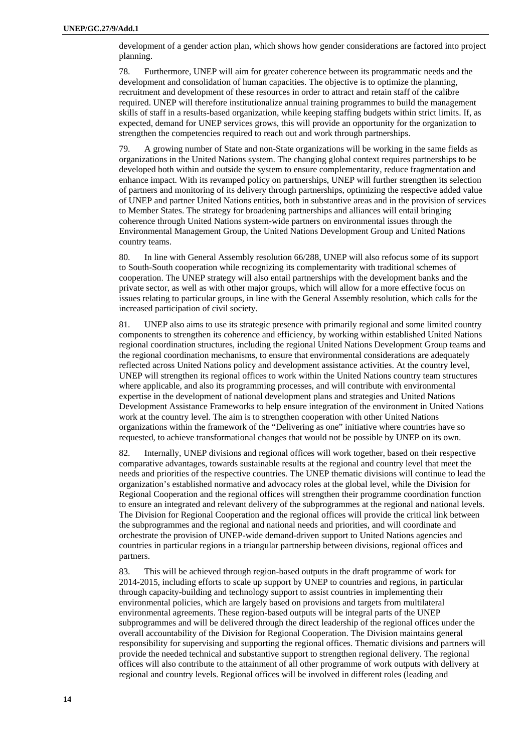development of a gender action plan, which shows how gender considerations are factored into project planning.

78. Furthermore, UNEP will aim for greater coherence between its programmatic needs and the development and consolidation of human capacities. The objective is to optimize the planning, recruitment and development of these resources in order to attract and retain staff of the calibre required. UNEP will therefore institutionalize annual training programmes to build the management skills of staff in a results-based organization, while keeping staffing budgets within strict limits. If, as expected, demand for UNEP services grows, this will provide an opportunity for the organization to strengthen the competencies required to reach out and work through partnerships.

79. A growing number of State and non-State organizations will be working in the same fields as organizations in the United Nations system. The changing global context requires partnerships to be developed both within and outside the system to ensure complementarity, reduce fragmentation and enhance impact. With its revamped policy on partnerships, UNEP will further strengthen its selection of partners and monitoring of its delivery through partnerships, optimizing the respective added value of UNEP and partner United Nations entities, both in substantive areas and in the provision of services to Member States. The strategy for broadening partnerships and alliances will entail bringing coherence through United Nations system-wide partners on environmental issues through the Environmental Management Group, the United Nations Development Group and United Nations country teams.

80. In line with General Assembly resolution 66/288, UNEP will also refocus some of its support to South-South cooperation while recognizing its complementarity with traditional schemes of cooperation. The UNEP strategy will also entail partnerships with the development banks and the private sector, as well as with other major groups, which will allow for a more effective focus on issues relating to particular groups, in line with the General Assembly resolution, which calls for the increased participation of civil society.

81. UNEP also aims to use its strategic presence with primarily regional and some limited country components to strengthen its coherence and efficiency, by working within established United Nations regional coordination structures, including the regional United Nations Development Group teams and the regional coordination mechanisms, to ensure that environmental considerations are adequately reflected across United Nations policy and development assistance activities. At the country level, UNEP will strengthen its regional offices to work within the United Nations country team structures where applicable, and also its programming processes, and will contribute with environmental expertise in the development of national development plans and strategies and United Nations Development Assistance Frameworks to help ensure integration of the environment in United Nations work at the country level. The aim is to strengthen cooperation with other United Nations organizations within the framework of the "Delivering as one" initiative where countries have so requested, to achieve transformational changes that would not be possible by UNEP on its own.

82. Internally, UNEP divisions and regional offices will work together, based on their respective comparative advantages, towards sustainable results at the regional and country level that meet the needs and priorities of the respective countries. The UNEP thematic divisions will continue to lead the organization's established normative and advocacy roles at the global level, while the Division for Regional Cooperation and the regional offices will strengthen their programme coordination function to ensure an integrated and relevant delivery of the subprogrammes at the regional and national levels. The Division for Regional Cooperation and the regional offices will provide the critical link between the subprogrammes and the regional and national needs and priorities, and will coordinate and orchestrate the provision of UNEP-wide demand-driven support to United Nations agencies and countries in particular regions in a triangular partnership between divisions, regional offices and partners.

83. This will be achieved through region-based outputs in the draft programme of work for 2014-2015, including efforts to scale up support by UNEP to countries and regions, in particular through capacity-building and technology support to assist countries in implementing their environmental policies, which are largely based on provisions and targets from multilateral environmental agreements. These region-based outputs will be integral parts of the UNEP subprogrammes and will be delivered through the direct leadership of the regional offices under the overall accountability of the Division for Regional Cooperation. The Division maintains general responsibility for supervising and supporting the regional offices. Thematic divisions and partners will provide the needed technical and substantive support to strengthen regional delivery. The regional offices will also contribute to the attainment of all other programme of work outputs with delivery at regional and country levels. Regional offices will be involved in different roles (leading and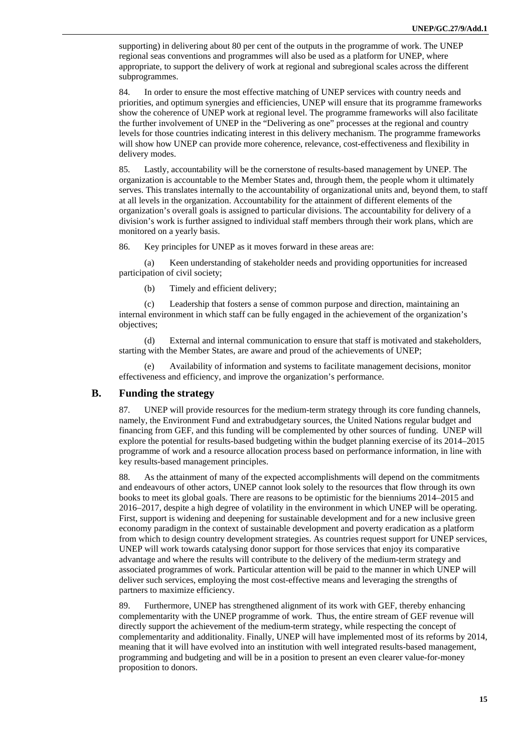supporting) in delivering about 80 per cent of the outputs in the programme of work. The UNEP regional seas conventions and programmes will also be used as a platform for UNEP, where appropriate, to support the delivery of work at regional and subregional scales across the different subprogrammes.

84. In order to ensure the most effective matching of UNEP services with country needs and priorities, and optimum synergies and efficiencies, UNEP will ensure that its programme frameworks show the coherence of UNEP work at regional level. The programme frameworks will also facilitate the further involvement of UNEP in the "Delivering as one" processes at the regional and country levels for those countries indicating interest in this delivery mechanism. The programme frameworks will show how UNEP can provide more coherence, relevance, cost-effectiveness and flexibility in delivery modes.

85. Lastly, accountability will be the cornerstone of results-based management by UNEP. The organization is accountable to the Member States and, through them, the people whom it ultimately serves. This translates internally to the accountability of organizational units and, beyond them, to staff at all levels in the organization. Accountability for the attainment of different elements of the organization's overall goals is assigned to particular divisions. The accountability for delivery of a division's work is further assigned to individual staff members through their work plans, which are monitored on a yearly basis.

86. Key principles for UNEP as it moves forward in these areas are:

(a) Keen understanding of stakeholder needs and providing opportunities for increased participation of civil society;

(b) Timely and efficient delivery;

(c) Leadership that fosters a sense of common purpose and direction, maintaining an internal environment in which staff can be fully engaged in the achievement of the organization's objectives;

(d) External and internal communication to ensure that staff is motivated and stakeholders, starting with the Member States, are aware and proud of the achievements of UNEP;

(e) Availability of information and systems to facilitate management decisions, monitor effectiveness and efficiency, and improve the organization's performance.

## **B. Funding the strategy**

87. UNEP will provide resources for the medium-term strategy through its core funding channels, namely, the Environment Fund and extrabudgetary sources, the United Nations regular budget and financing from GEF, and this funding will be complemented by other sources of funding. UNEP will explore the potential for results-based budgeting within the budget planning exercise of its 2014–2015 programme of work and a resource allocation process based on performance information, in line with key results-based management principles.

88. As the attainment of many of the expected accomplishments will depend on the commitments and endeavours of other actors, UNEP cannot look solely to the resources that flow through its own books to meet its global goals. There are reasons to be optimistic for the bienniums 2014–2015 and 2016–2017, despite a high degree of volatility in the environment in which UNEP will be operating. First, support is widening and deepening for sustainable development and for a new inclusive green economy paradigm in the context of sustainable development and poverty eradication as a platform from which to design country development strategies. As countries request support for UNEP services, UNEP will work towards catalysing donor support for those services that enjoy its comparative advantage and where the results will contribute to the delivery of the medium-term strategy and associated programmes of work. Particular attention will be paid to the manner in which UNEP will deliver such services, employing the most cost-effective means and leveraging the strengths of partners to maximize efficiency.

89. Furthermore, UNEP has strengthened alignment of its work with GEF, thereby enhancing complementarity with the UNEP programme of work. Thus, the entire stream of GEF revenue will directly support the achievement of the medium-term strategy, while respecting the concept of complementarity and additionality. Finally, UNEP will have implemented most of its reforms by 2014, meaning that it will have evolved into an institution with well integrated results-based management, programming and budgeting and will be in a position to present an even clearer value-for-money proposition to donors.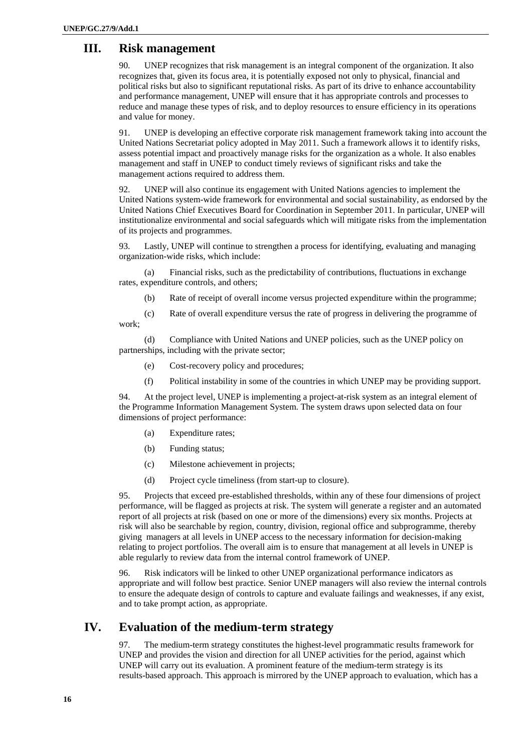## **III. Risk management**

90. UNEP recognizes that risk management is an integral component of the organization. It also recognizes that, given its focus area, it is potentially exposed not only to physical, financial and political risks but also to significant reputational risks. As part of its drive to enhance accountability and performance management, UNEP will ensure that it has appropriate controls and processes to reduce and manage these types of risk, and to deploy resources to ensure efficiency in its operations and value for money.

91. UNEP is developing an effective corporate risk management framework taking into account the United Nations Secretariat policy adopted in May 2011. Such a framework allows it to identify risks, assess potential impact and proactively manage risks for the organization as a whole. It also enables management and staff in UNEP to conduct timely reviews of significant risks and take the management actions required to address them.

92. UNEP will also continue its engagement with United Nations agencies to implement the United Nations system-wide framework for environmental and social sustainability, as endorsed by the United Nations Chief Executives Board for Coordination in September 2011. In particular, UNEP will institutionalize environmental and social safeguards which will mitigate risks from the implementation of its projects and programmes.

93. Lastly, UNEP will continue to strengthen a process for identifying, evaluating and managing organization-wide risks, which include:

(a) Financial risks, such as the predictability of contributions, fluctuations in exchange rates, expenditure controls, and others;

(b) Rate of receipt of overall income versus projected expenditure within the programme;

(c) Rate of overall expenditure versus the rate of progress in delivering the programme of work;

(d) Compliance with United Nations and UNEP policies, such as the UNEP policy on partnerships, including with the private sector;

- (e) Cost-recovery policy and procedures;
- (f) Political instability in some of the countries in which UNEP may be providing support.

94. At the project level, UNEP is implementing a project-at-risk system as an integral element of the Programme Information Management System. The system draws upon selected data on four dimensions of project performance:

- (a) Expenditure rates;
- (b) Funding status;
- (c) Milestone achievement in projects;
- (d) Project cycle timeliness (from start-up to closure).

95. Projects that exceed pre-established thresholds, within any of these four dimensions of project performance, will be flagged as projects at risk. The system will generate a register and an automated report of all projects at risk (based on one or more of the dimensions) every six months. Projects at risk will also be searchable by region, country, division, regional office and subprogramme, thereby giving managers at all levels in UNEP access to the necessary information for decision-making relating to project portfolios. The overall aim is to ensure that management at all levels in UNEP is able regularly to review data from the internal control framework of UNEP.

96. Risk indicators will be linked to other UNEP organizational performance indicators as appropriate and will follow best practice. Senior UNEP managers will also review the internal controls to ensure the adequate design of controls to capture and evaluate failings and weaknesses, if any exist, and to take prompt action, as appropriate.

## **IV. Evaluation of the medium-term strategy**

97. The medium-term strategy constitutes the highest-level programmatic results framework for UNEP and provides the vision and direction for all UNEP activities for the period, against which UNEP will carry out its evaluation. A prominent feature of the medium-term strategy is its results-based approach. This approach is mirrored by the UNEP approach to evaluation, which has a